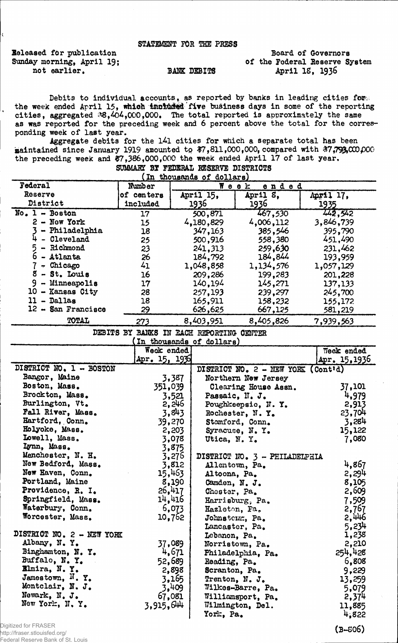## STATEMENT FOR THE PRESS

**Eeleased for publication** Board of Governors not earlier. BANK DEBITS April 15, 1936

## Sunday morning, April 19; sunday morning, April 19; sunday and the Federal Reserve System

Debits to individual accounts, as reported by banks in leading cities form the week ended April 15, which included five business days in some of the reporting cities, aggregated i\*8,4o4,000,000. The total reported is approximately the same as was reported for the preceding week and 6 percent above the total for the corresponding week of last year.

Aggregate debits for the 141 cities for which a separate total has been maintained since January 1919 amounted to  $37,811,000,000$ , compared with  $37,793,000,000$ the preceding week and \$7,386,000,000 the week ended April 17 of last year. SUMMARY BY FEDERAL RESERVE DISTRICTS

| <b>Federal</b>      | Number     |           | Week<br>ended |           |
|---------------------|------------|-----------|---------------|-----------|
| Reserve             | of centers | April 15, | April S.      | April 17, |
| District            | included   | 1936      | 1936          | 1935.     |
| $No. 1 - Boston$    | 17         | 500,871   | 467,530       | 442,542   |
| $2 - Now York$      | 15         | 4.180,829 | 4,006,112     | 3.846,739 |
| - Philadelphia      | 18         | 347,163   | 385,546       | 395,790   |
| - Cleveland         | 25         | 500,916   | 558,380       | 451,490   |
| - Richmond          | 23         | 241,313   | 259,630       | 231,462   |
| - Atlanta           | 26         | 184,792   | 184,844       | 193,959   |
| - Chicago           | 41         | 1,048,858 | 1,134,576     | 1,057,129 |
| $8 - St.$ Louis     | 16         | 209,286   | 199,283       | 201,228   |
| 9<br>- Minneapolis  | 17         | 140,194   | 145,271       | 137,133   |
| 10<br>- Kansas City | 28         | 257,193   | 239,297       | 245,700   |
| $11 - Dallas$       | 18         | 165,911   | 158,232       | 155,172   |
| 12 - San Francisce  | 29         | 626,625   | 667,125       | 581,219   |
| TOTAL               | 273        | 8,403,951 | 8,405,826     | 7,939,563 |

## DEBITS BY BANKS IN EACH REPORTING CENTER In thousands of dollars)

|                           | Week ended    |                                    | Weck ended    |
|---------------------------|---------------|------------------------------------|---------------|
|                           | Apr. 15, 1936 |                                    | Apr. 15, 1936 |
| DISTRICT NO. 1 - BOSTON   |               | DISTRICT NO. 2 - NEW YORK (Cont'd) |               |
| Bangor, Maine             | 3,387         | Northern New Jersey                |               |
| Boston, Mass.             | 351,039       | Clearing House Assn.               | 37,101        |
| Brockton, Mass.           | 3,521         | Passaic. N. J.                     | 4,979         |
| Burlington, Vt.           | 2,246         | Poughkeepsic, N.Y.                 | 2,913         |
| Fall River, Mass.         | 3,843         | Rochester, N.Y.                    | 23,704        |
| Hartford, Conn.           | 39,270        | Stamford, Conn.                    | 3,284         |
| Holyoke, Mass.            | 2,203         | Syracuse, N.Y.                     | 15,122        |
| Lowell, Mass.             | 3,078         | Utica, N. Y.                       | 7,080         |
| Lynn, Mass.               | 3,875         |                                    |               |
| Manchester, N. H.         | 3,276         | DISTRICT NO. 3 - PHILADELPHIA      |               |
| New Bedford, Mass.        | 3,812         | Allentown, Pa.                     | 4,867         |
| New Haven, Conn.          | 15,463        | Altoona, Pa.                       | 2,294         |
| Portland, Maine           | 8,190         | Camden, N. J.                      | 8,105         |
| Providence, R. I.         | 26,417        | Chester, Pa.                       | 2,609         |
| Springfield, Mass.        | 14,416        | Harrisburg, Pa.                    | 7,509         |
| Waterbury, Conn.          | 6,073         | Hazleton, Pa.                      | 2,767         |
| Worcester, Mass.          | 10,762        | Johnstemm, Pa.                     | 2,446         |
|                           |               | Lancaster, Pa.                     | 5,234         |
| DISTRICT NO. 2 - NEW YORK |               | Lebanon, Pa.                       | 1,238         |
| Albany, N.Y.              | 37,089        | Norristown, Pa.                    | 2,210         |
| Binghamton, N. Y.         | 4,671         | Philadelphia, Pa.                  | 254,428       |
| Buffalo, N.Y.             | 52,689        | Reading, Pa.                       | 6,808         |
| Elmira, N.Y.              | 2,898         | Scranton, Pa.                      | 9,229         |
| Jamestown, $N. Y.$        | 3,165         | Trenton, N. J.                     | 13,259        |
| Montclair, N. J.          | 3,409         | Wilkes-Barre, Pa.                  | 5,079         |
| Newark, N. J.             | 67,081        | Williamsport, Pa.                  | 2,374         |
| New York, N. Y.           | 3,915,644     | Wilmington, Del.                   | 11,885        |
|                           |               |                                    |               |
|                           |               | York, Pa.                          | 4,822         |

Digitized for FRASER

http://fraser.stlouisfed.org/ Federal Reserve Bank of St. Louis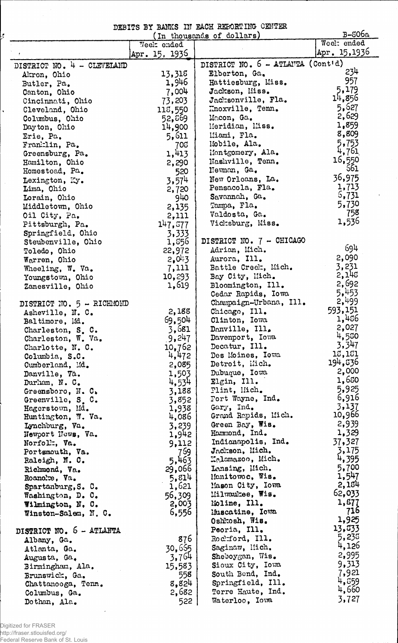|  |  | DEBITS BY BANKS IN EACH REPORTING CENTER |  |
|--|--|------------------------------------------|--|
|  |  |                                          |  |

|                                     | אי איטאשי יגי שאישמים בערכות שבעות | (In thousands of dollars)            | В-506а          |
|-------------------------------------|------------------------------------|--------------------------------------|-----------------|
|                                     | Week ended                         |                                      | Weel: ended     |
|                                     | Apr. 15, 1936                      |                                      | Apr. 15,1936    |
| DISTRICT NO. 4 - CLEVELAND          |                                    | DISTRICT NO. $6 -$ ATLANTA (Contid)  |                 |
| Akron, Ohio                         | 13,318                             | Elberton, Ga.                        | 234             |
| Butler, Pa.                         | 1,946                              | Hattiesburg, Miss.                   | 957             |
| Canton, Ohio                        | 7,004                              | Jackson, Miss.                       | 5,179<br>14,856 |
| Cincinnati, Ohio                    | 73,203                             | Jacksonville, Fla.                   | 5,627           |
| Cleveland, Ohio                     | 118,550                            | Knoxville, Tenn.                     | 2,629           |
| Columbus, Ohio                      | 52,869                             | Macon, Ga.<br>Meridian, Miss.        | 1,859           |
| Dayton, Ohio                        | 14,900                             | Miami, Fla.                          | 8,809           |
| Erie, Pa.<br>Franklin, Pa.          | 5,611<br>705                       | Mobile, Ala.                         | 5,753           |
| Greensburg, Pa.                     | 1,413                              | Montgomery, Ala.                     | 4,761           |
| Hamilton, Ohio                      | 2,290                              | Nashville, Tenn.                     | 16,550          |
| Homestoad, Pa.                      | 520                                | Newman, Ga.                          | 561             |
| Lexington, Ky.                      | 3,57 <sup>4</sup>                  | New Orleans, La.                     | 36,975          |
| Lima, Ohio                          | 2,720                              | Pensacola, Fla.                      | 1,713           |
| Lorain, Ohio                        | 940                                | Savannah, Ga.                        | 5,731           |
| Middletown, Ohio                    | 2,135                              | Tampa, Fla.                          | 5,730           |
| Oil City, Pa.                       | 2,111                              | Valdosta, Ga.                        | 758             |
| Pittsburgh, Pa.                     | 147,577                            | Vicksburg, Miss.                     | 1,536           |
| Springfield, Ohio                   | 3,333                              |                                      |                 |
| Steubenville, Ohio                  | 1,556                              | DISTRICT NO. 7 - CHICAGO             |                 |
| Toledo, Ohio                        | 22,972                             | Adrian, Mich.                        | 694             |
| Warren, Ohio                        | 2,0.3                              | Aurora, Ill.                         | 2,090           |
| Wheeling, W. Va.                    | 7,111                              | Battle Creek, Mich.                  | 3,231           |
| Youngstown, Ohio                    | 10,293                             | Bay City, Mich.                      | 2,145           |
| Zanesville, Ohio                    | 1,619                              | Bloomington, Ill.                    | 2,692<br>5,453  |
|                                     |                                    | Cedar Rapids, Iowa                   | 2,499           |
| DISTRICT NO. 5 - RICHMOND           | 2,188                              | Champaign-Urbana, Ill.               | 593,151         |
| Asheville, N. C.                    | 69,504                             | Chicago, Ill.<br>Clinton, Iowa       | 1,456           |
| Baltimore, Md.<br>Charleston, S. C. | 3,681                              | Danville, Ill.                       | 2,027           |
| Charleston, W. Va.                  | 9,247                              | Davenport, Iowa                      | 4,530           |
| Charlotte, N.C.                     | 10,762                             | Decatur, Ill.                        | 3,347           |
| Columbia, S.C.                      | 4,472                              | Des Moines, Iowa                     | 16,161          |
| Cumberland, Md.                     | 2,085                              | Detroit, Mich.                       | 194,836         |
| Danville, Vä.                       | 1,503                              | Dubuque, Iowa                        | 2,000           |
| Durham, N. C.                       | 4,534                              | Elgin, Ill.                          | 1,680           |
| Greensboro, N.C.                    | 3,188                              | Flint, Mich.                         | 5,925           |
| Greenville, S.C.                    | 3,852                              | Fort Wayne, Ind.                     | 6,916           |
| Hagerstown, Md.                     | 1,938                              | Gary, Ind.                           | 3,137           |
| Huntington, W. Va.                  | 4,086                              | Grand Repids, Mich.                  | 10,966          |
| Lynchburg, Va.                      | 3,239                              | Green Bay, Wis.                      | 2,939           |
| Newport News, Va.                   | 1,942                              | Hammond, Ind.                        | 1,329<br>37,327 |
| Norfollz, Va.                       | 9,112                              | Indianapolis, Ind.<br>Jackson, Mich. | 3,175           |
| Portsmouth, Va.                     | 759                                | Kalamazoo, Mich.                     | 4,395           |
| Raleigh, N. C.<br>Richmond, Va.     | 5,463<br>29,066                    | Lansing, Mich.                       | 5,700           |
| Roanoke, Va.                        | 5,814                              | Manitowoc, Wis.                      | 1,547           |
| Spartanburg, S. C.                  | 1,621                              | Mason City, Iowa                     | 2,154           |
| Washington, D. C.                   | 56,309                             | Milwaukee, Wis.                      | 62,033          |
| Wilmington, N. C.                   | 2,003                              | Moline, Ill.                         | 1,677           |
| Winston-Salem, N. C.                | 6,556                              | Muscatine, Iowa                      | 716             |
|                                     |                                    | Oshkosh, Wis.                        | 1,925           |
| DISTRICT NO. 6 - ATLANTA            |                                    | Peoria, Ill.                         | 13,533          |
| Albany, Ga.                         | 876                                | Rodfford, Ill.                       | 5,235           |
| Atlanta, Ga.                        | 30,655                             | Saginaw, Mich.                       | 4,126           |
| Augusta, Ga.                        | 3,764                              | Sheboygan, Wis.                      | 2,995           |
| Birmingham, Ala.                    | 15,583                             | Sioux City, Iowa                     | 9,313           |
| Brunswick, Ga.                      | 558                                | South Bend, Ind.                     | 7,921           |
| Chattanooga, Tenn.                  | 8,824                              | Springfield, Ill.                    | 4,859<br>4,660  |
| Columbus, Ga.                       | 2,682                              | Terre Haute, Ind.                    |                 |
| Dothan, Ala.                        | 522                                | Waterloo, Iowa                       | 3,727           |

Digitized for FRASER http://fraser.stlouisfed.org/ Federal Reserve Bank of St. Louis  $\ddot{\phantom{0}}$ 

ķ

 $\ddot{\phantom{0}}$ 

 $\hat{\mathcal{L}}$